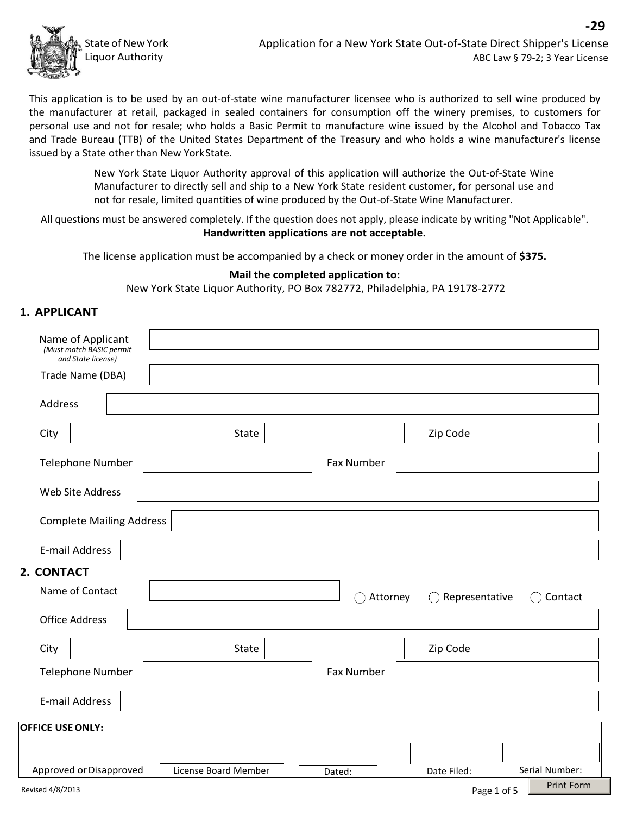

**-29**

This application is to be used by an out-of-state wine manufacturer licensee who is authorized to sell wine produced by the manufacturer at retail, packaged in sealed containers for consumption off the winery premises, to customers for personal use and not for resale; who holds a Basic Permit to manufacture wine issued by the Alcohol and Tobacco Tax and Trade Bureau (TTB) of the United States Department of the Treasury and who holds a wine manufacturer's license issued by a State other than New YorkState.

> New York State Liquor Authority approval of this application will authorize the Out-of-State Wine Manufacturer to directly sell and ship to a New York State resident customer, for personal use and not for resale, limited quantities of wine produced by the Out-of-State Wine Manufacturer.

All questions must be answered completely. If the question does not apply, please indicate by writing "Not Applicable". **Handwritten applications are not acceptable.**

The license application must be accompanied by a check or money order in the amount of **\$375.**

#### **Mail the completed application to:**

New York State Liquor Authority, PO Box 782772, Philadelphia, PA 19178-2772

#### **1. APPLICANT**

| Name of Applicant<br>(Must match BASIC permit<br>and State license) |                      |                   |                |                   |
|---------------------------------------------------------------------|----------------------|-------------------|----------------|-------------------|
| Trade Name (DBA)                                                    |                      |                   |                |                   |
| Address                                                             |                      |                   |                |                   |
| City                                                                | <b>State</b>         |                   | Zip Code       |                   |
| <b>Telephone Number</b>                                             |                      | <b>Fax Number</b> |                |                   |
| <b>Web Site Address</b>                                             |                      |                   |                |                   |
| <b>Complete Mailing Address</b>                                     |                      |                   |                |                   |
| <b>E-mail Address</b>                                               |                      |                   |                |                   |
| 2. CONTACT                                                          |                      |                   |                |                   |
| Name of Contact                                                     |                      | Attorney<br>- 1   | Representative | Contact           |
| <b>Office Address</b>                                               |                      |                   |                |                   |
| City                                                                | <b>State</b>         |                   | Zip Code       |                   |
| <b>Telephone Number</b>                                             |                      | <b>Fax Number</b> |                |                   |
| <b>E-mail Address</b>                                               |                      |                   |                |                   |
| <b>OFFICE USE ONLY:</b>                                             |                      |                   |                |                   |
|                                                                     |                      |                   |                |                   |
| Approved or Disapproved                                             | License Board Member | Dated:            | Date Filed:    | Serial Number:    |
| Revised 4/8/2013                                                    |                      |                   | Page 1 of 5    | <b>Print Form</b> |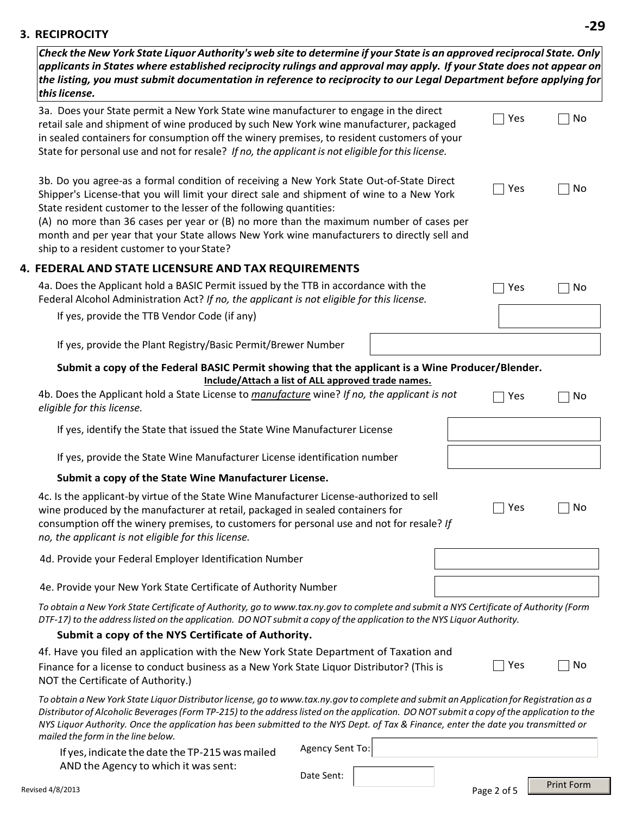# **3. RECIPROCITY -29**

| Check the New York State Liquor Authority's web site to determine if your State is an approved reciprocal State. Only<br>applicants in States where established reciprocity rulings and approval may apply. If your State does not appear on<br>the listing, you must submit documentation in reference to reciprocity to our Legal Department before applying for<br>this license.                                                                                                               |                 |     |                   |
|---------------------------------------------------------------------------------------------------------------------------------------------------------------------------------------------------------------------------------------------------------------------------------------------------------------------------------------------------------------------------------------------------------------------------------------------------------------------------------------------------|-----------------|-----|-------------------|
| 3a. Does your State permit a New York State wine manufacturer to engage in the direct<br>retail sale and shipment of wine produced by such New York wine manufacturer, packaged<br>in sealed containers for consumption off the winery premises, to resident customers of your<br>State for personal use and not for resale? If no, the applicant is not eligible for this license.                                                                                                               |                 | Yes | No                |
| 3b. Do you agree-as a formal condition of receiving a New York State Out-of-State Direct<br>Shipper's License-that you will limit your direct sale and shipment of wine to a New York<br>State resident customer to the lesser of the following quantities:<br>(A) no more than 36 cases per year or (B) no more than the maximum number of cases per<br>month and per year that your State allows New York wine manufacturers to directly sell and<br>ship to a resident customer to your State? |                 | Yes | No                |
| 4. FEDERAL AND STATE LICENSURE AND TAX REQUIREMENTS                                                                                                                                                                                                                                                                                                                                                                                                                                               |                 |     |                   |
| 4a. Does the Applicant hold a BASIC Permit issued by the TTB in accordance with the<br>Federal Alcohol Administration Act? If no, the applicant is not eligible for this license.                                                                                                                                                                                                                                                                                                                 |                 | Yes | No                |
| If yes, provide the TTB Vendor Code (if any)                                                                                                                                                                                                                                                                                                                                                                                                                                                      |                 |     |                   |
| If yes, provide the Plant Registry/Basic Permit/Brewer Number                                                                                                                                                                                                                                                                                                                                                                                                                                     |                 |     |                   |
| Submit a copy of the Federal BASIC Permit showing that the applicant is a Wine Producer/Blender.<br>Include/Attach a list of ALL approved trade names.                                                                                                                                                                                                                                                                                                                                            |                 |     |                   |
| 4b. Does the Applicant hold a State License to manufacture wine? If no, the applicant is not<br>eligible for this license.                                                                                                                                                                                                                                                                                                                                                                        |                 | Yes | No                |
| If yes, identify the State that issued the State Wine Manufacturer License                                                                                                                                                                                                                                                                                                                                                                                                                        |                 |     |                   |
| If yes, provide the State Wine Manufacturer License identification number                                                                                                                                                                                                                                                                                                                                                                                                                         |                 |     |                   |
| Submit a copy of the State Wine Manufacturer License.                                                                                                                                                                                                                                                                                                                                                                                                                                             |                 |     |                   |
| 4c. Is the applicant-by virtue of the State Wine Manufacturer License-authorized to sell<br>wine produced by the manufacturer at retail, packaged in sealed containers for<br>consumption off the winery premises, to customers for personal use and not for resale? If<br>no, the applicant is not eligible for this license.                                                                                                                                                                    |                 | Yes | No                |
| 4d. Provide your Federal Employer Identification Number                                                                                                                                                                                                                                                                                                                                                                                                                                           |                 |     |                   |
| 4e. Provide your New York State Certificate of Authority Number                                                                                                                                                                                                                                                                                                                                                                                                                                   |                 |     |                   |
| To obtain a New York State Certificate of Authority, go to www.tax.ny.gov to complete and submit a NYS Certificate of Authority (Form<br>DTF-17) to the address listed on the application. DO NOT submit a copy of the application to the NYS Liquor Authority.                                                                                                                                                                                                                                   |                 |     |                   |
| Submit a copy of the NYS Certificate of Authority.                                                                                                                                                                                                                                                                                                                                                                                                                                                |                 |     |                   |
| 4f. Have you filed an application with the New York State Department of Taxation and<br>Finance for a license to conduct business as a New York State Liquor Distributor? (This is<br>NOT the Certificate of Authority.)                                                                                                                                                                                                                                                                          |                 | Yes | No                |
| To obtain a New York State Liquor Distributor license, go to www.tax.ny.gov to complete and submit an Application for Registration as a<br>Distributor of Alcoholic Beverages (Form TP-215) to the address listed on the application. DO NOT submit a copy of the application to the<br>NYS Liquor Authority. Once the application has been submitted to the NYS Dept. of Tax & Finance, enter the date you transmitted or<br>mailed the form in the line below.                                  |                 |     |                   |
| If yes, indicate the date the TP-215 was mailed<br>AND the Agency to which it was sent:                                                                                                                                                                                                                                                                                                                                                                                                           | Agency Sent To: |     |                   |
|                                                                                                                                                                                                                                                                                                                                                                                                                                                                                                   | Date Sent:      |     | <b>Print Form</b> |

٦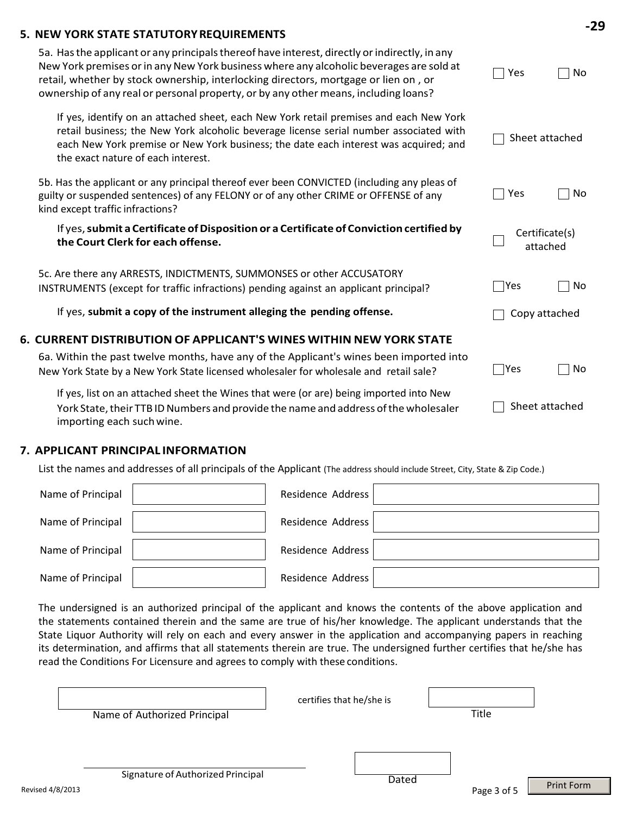## **5. NEW YORK STATE STATUTORYREQUIREMENTS**

| 5a. Has the applicant or any principals thereof have interest, directly or indirectly, in any<br>New York premises or in any New York business where any alcoholic beverages are sold at<br>retail, whether by stock ownership, interlocking directors, mortgage or lien on, or<br>ownership of any real or personal property, or by any other means, including loans? | Yes                        | No |
|------------------------------------------------------------------------------------------------------------------------------------------------------------------------------------------------------------------------------------------------------------------------------------------------------------------------------------------------------------------------|----------------------------|----|
| If yes, identify on an attached sheet, each New York retail premises and each New York<br>retail business; the New York alcoholic beverage license serial number associated with<br>each New York premise or New York business; the date each interest was acquired; and<br>the exact nature of each interest.                                                         | Sheet attached             |    |
| 5b. Has the applicant or any principal thereof ever been CONVICTED (including any pleas of<br>guilty or suspended sentences) of any FELONY or of any other CRIME or OFFENSE of any<br>kind except traffic infractions?                                                                                                                                                 | Yes                        | No |
| If yes, submit a Certificate of Disposition or a Certificate of Conviction certified by<br>the Court Clerk for each offense.                                                                                                                                                                                                                                           | Certificate(s)<br>attached |    |
| 5c. Are there any ARRESTS, INDICTMENTS, SUMMONSES or other ACCUSATORY<br>INSTRUMENTS (except for traffic infractions) pending against an applicant principal?                                                                                                                                                                                                          | $\bigcap$ Yes              | No |
| If yes, submit a copy of the instrument alleging the pending offense.                                                                                                                                                                                                                                                                                                  | Copy attached              |    |
| 6. CURRENT DISTRIBUTION OF APPLICANT'S WINES WITHIN NEW YORK STATE                                                                                                                                                                                                                                                                                                     |                            |    |
| 6a. Within the past twelve months, have any of the Applicant's wines been imported into<br>New York State by a New York State licensed wholesaler for wholesale and retail sale?                                                                                                                                                                                       | $\bigcap$ Yes              | No |
| If yes, list on an attached sheet the Wines that were (or are) being imported into New<br>York State, their TTB ID Numbers and provide the name and address of the wholesaler<br>importing each such wine.                                                                                                                                                             | Sheet attached             |    |

#### **7. APPLICANT PRINCIPAL INFORMATION**

List the names and addresses of all principals of the Applicant (The address should include Street, City, State & Zip Code.)

| Name of Principal | Residence Address |  |
|-------------------|-------------------|--|
| Name of Principal | Residence Address |  |
| Name of Principal | Residence Address |  |
| Name of Principal | Residence Address |  |

The undersigned is an authorized principal of the applicant and knows the contents of the above application and the statements contained therein and the same are true of his/her knowledge. The applicant understands that the State Liquor Authority will rely on each and every answer in the application and accompanying papers in reaching its determination, and affirms that all statements therein are true. The undersigned further certifies that he/she has read the Conditions For Licensure and agrees to comply with these conditions.

|          | Name of Authorized Principal      | certifies that he/she is | Title       |                   |
|----------|-----------------------------------|--------------------------|-------------|-------------------|
| 4/8/2013 | Signature of Authorized Principal | Dated                    | Page 3 of 5 | <b>Print Form</b> |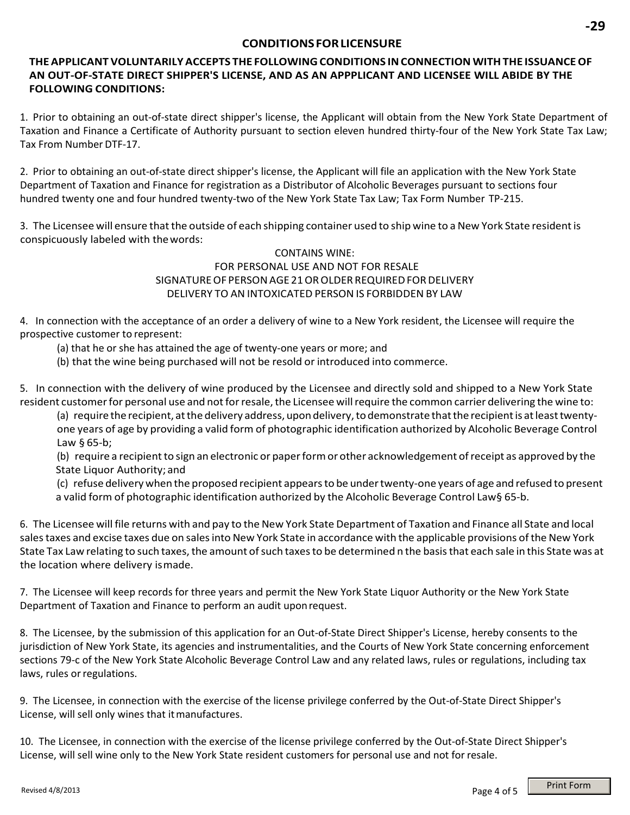#### **CONDITIONSFORLICENSURE**

## **THEAPPLICANT VOLUNTARILYACCEPTS THE FOLLOWINGCONDITIONS INCONNECTION WITHTHE ISSUANCEOF AN OUT-OF-STATE DIRECT SHIPPER'S LICENSE, AND AS AN APPPLICANT AND LICENSEE WILL ABIDE BY THE FOLLOWING CONDITIONS:**

1. Prior to obtaining an out-of-state direct shipper's license, the Applicant will obtain from the New York State Department of Taxation and Finance a Certificate of Authority pursuant to section eleven hundred thirty-four of the New York State Tax Law; Tax From Number DTF-17.

2. Prior to obtaining an out-of-state direct shipper's license, the Applicant will file an application with the New York State Department of Taxation and Finance for registration as a Distributor of Alcoholic Beverages pursuant to sections four hundred twenty one and four hundred twenty-two of the New York State Tax Law; Tax Form Number TP-215.

3. The Licensee will ensure that the outside of each shipping container used to ship wine to a New York State resident is conspicuously labeled with thewords:

### CONTAINS WINE: FOR PERSONAL USE AND NOT FOR RESALE SIGNATURE OF PERSON AGE 21 OR OLDER REQUIRED FOR DELIVERY DELIVERY TO AN INTOXICATED PERSON IS FORBIDDEN BY LAW

4. In connection with the acceptance of an order a delivery of wine to a New York resident, the Licensee will require the prospective customer to represent:

(a) that he or she has attained the age of twenty-one years or more; and

(b) that the wine being purchased will not be resold or introduced into commerce.

5. In connection with the delivery of wine produced by the Licensee and directly sold and shipped to a New York State resident customer for personal use and not for resale, the Licensee will require the common carrier delivering the wine to:

(a) require the recipient, at the delivery address, upon delivery, to demonstrate that the recipient is at least twentyone years of age by providing a valid form of photographic identification authorized by Alcoholic Beverage Control Law § 65-b;

(b) require a recipientto sign an electronic or paperformor other acknowledgement ofreceipt as approved by the State Liquor Authority; and

(c) refuse delivery when the proposed recipient appearsto be undertwenty-one years of age and refused to present a valid form of photographic identification authorized by the Alcoholic Beverage Control Law§ 65-b.

6. The Licensee will file returns with and pay to the New York State Department of Taxation and Finance all State and local salestaxes and excise taxes due on salesinto New York State in accordance with the applicable provisions ofthe New York State Tax Law relating to such taxes, the amount of such taxes to be determined n the basis that each sale in this State was at the location where delivery ismade.

7. The Licensee will keep records for three years and permit the New York State Liquor Authority or the New York State Department of Taxation and Finance to perform an audit uponrequest.

8. The Licensee, by the submission of this application for an Out-of-State Direct Shipper's License, hereby consents to the jurisdiction of New York State, its agencies and instrumentalities, and the Courts of New York State concerning enforcement sections 79-c of the New York State Alcoholic Beverage Control Law and any related laws, rules or regulations, including tax laws, rules or regulations.

9. The Licensee, in connection with the exercise of the license privilege conferred by the Out-of-State Direct Shipper's License, will sell only wines that itmanufactures.

10. The Licensee, in connection with the exercise of the license privilege conferred by the Out-of-State Direct Shipper's License, will sell wine only to the New York State resident customers for personal use and not for resale.